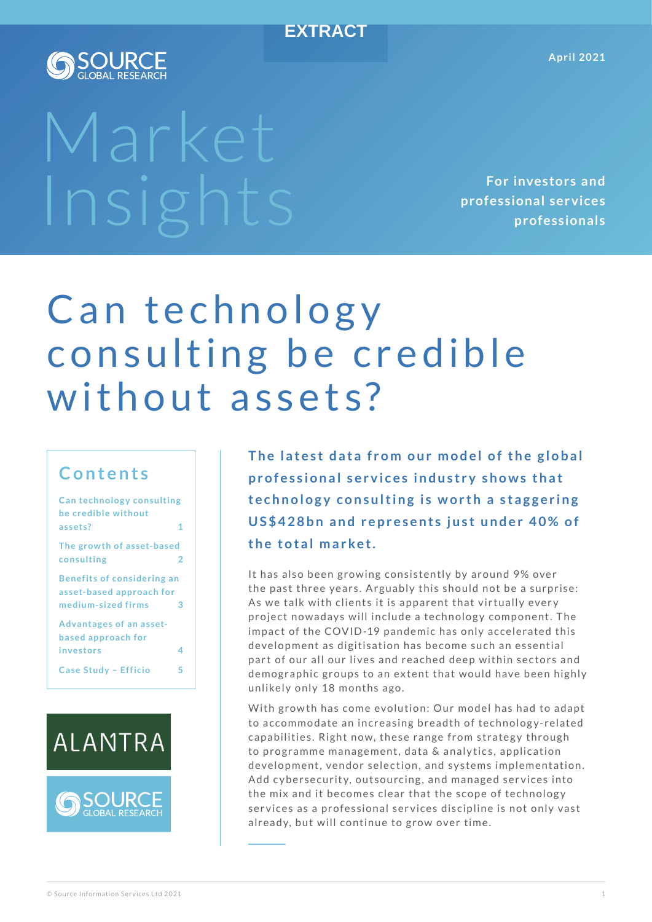#### **EXTRACT**



# Market

**For investors and professional ser vices professionals**

# Can technology consulting be credible without assets?

### **Contents**

| <b>Can technology consulting</b>  |   |
|-----------------------------------|---|
| be credible without               |   |
| assets?                           | 1 |
| The growth of asset-based         |   |
| consulting                        | 2 |
| <b>Benefits of considering an</b> |   |
| asset-based approach for          |   |
| medium-sized firms                | 3 |
| <b>Advantages of an asset-</b>    |   |
| based approach for                |   |
| investors                         | 4 |
| Case Study - Efficio              | 5 |





The latest data from our model of the global professional services industry shows that technology consulting is worth a staggering US\$428bn and represents just under 40% of the total market.

It has also been growing consistently by around 9% over the past three years. Arguably this should not be a surprise: As we talk with clients it is apparent that virtually every project nowadays will include a technology component. The impact of the COVID-19 pandemic has only accelerated this development as digitisation has become such an essential part of our all our lives and reached deep within sectors and demographic groups to an extent that would have been highly unlikely only 18 months ago.

With growth has come evolution: Our model has had to adapt to accommodate an increasing breadth of technology-related capabilities. Right now, these range from strategy through to programme management, data & analytics, application development, vendor selection, and systems implementation. Add cybersecurity, outsourcing, and managed services into the mix and it becomes clear that the scope of technology services as a professional services discipline is not only vast already, but will continue to grow over time.